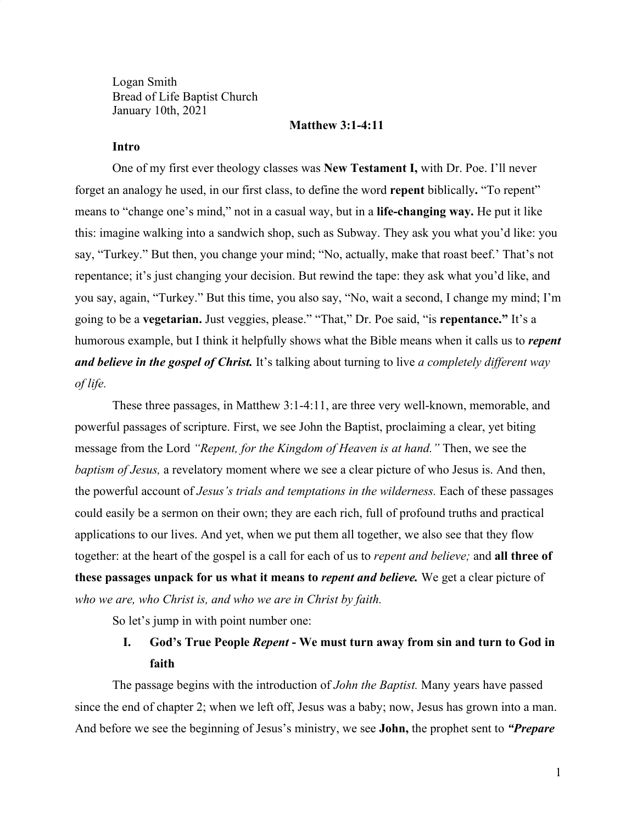Logan Smith Bread of Life Baptist Church January 10th, 2021

### **Matthew 3:1-4:11**

## **Intro**

One of my first ever theology classes was **New Testament I,** with Dr. Poe. I'll never forget an analogy he used, in our first class, to define the word **repent** biblically**.** "To repent" means to "change one's mind," not in a casual way, but in a **life-changing way.** He put it like this: imagine walking into a sandwich shop, such as Subway. They ask you what you'd like: you say, "Turkey." But then, you change your mind; "No, actually, make that roast beef.' That's not repentance; it's just changing your decision. But rewind the tape: they ask what you'd like, and you say, again, "Turkey." But this time, you also say, "No, wait a second, I change my mind; I'm going to be a **vegetarian.** Just veggies, please." "That," Dr. Poe said, "is **repentance."** It's a humorous example, but I think it helpfully shows what the Bible means when it calls us to *repent and believe in the gospel of Christ.* It's talking about turning to live *a completely different way of life.*

These three passages, in Matthew 3:1-4:11, are three very well-known, memorable, and powerful passages of scripture. First, we see John the Baptist, proclaiming a clear, yet biting message from the Lord *"Repent, for the Kingdom of Heaven is at hand."* Then, we see the *baptism of Jesus,* a revelatory moment where we see a clear picture of who Jesus is. And then, the powerful account of *Jesus's trials and temptations in the wilderness.* Each of these passages could easily be a sermon on their own; they are each rich, full of profound truths and practical applications to our lives. And yet, when we put them all together, we also see that they flow together: at the heart of the gospel is a call for each of us to *repent and believe;* and **all three of these passages unpack for us what it means to** *repent and believe.* We get a clear picture of *who we are, who Christ is, and who we are in Christ by faith.*

So let's jump in with point number one:

# **I. God's True People** *Repent* **- We must turn away from sin and turn to God in faith**

The passage begins with the introduction of *John the Baptist.* Many years have passed since the end of chapter 2; when we left off, Jesus was a baby; now, Jesus has grown into a man. And before we see the beginning of Jesus's ministry, we see **John,** the prophet sent to *"Prepare*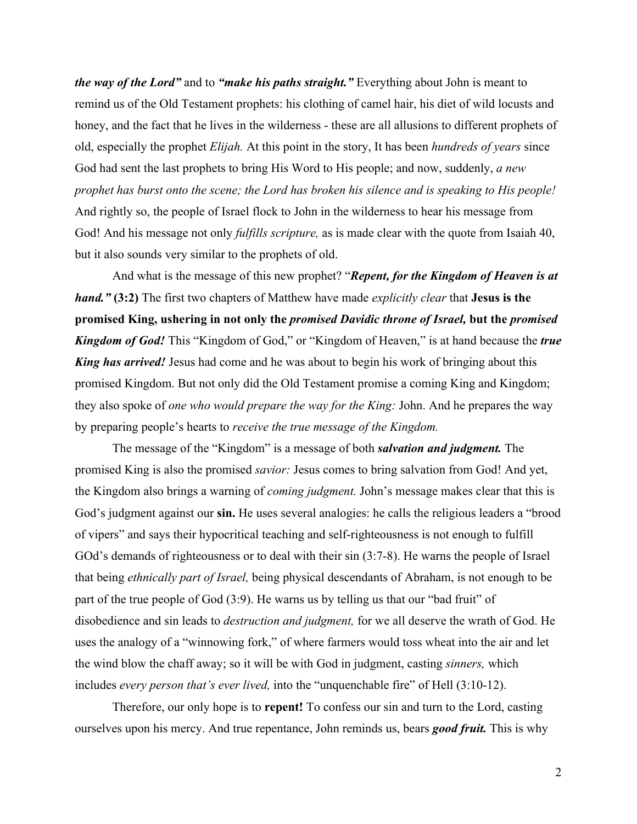*the way of the Lord"* and to *"make his paths straight."* Everything about John is meant to remind us of the Old Testament prophets: his clothing of camel hair, his diet of wild locusts and honey, and the fact that he lives in the wilderness - these are all allusions to different prophets of old, especially the prophet *Elijah.* At this point in the story, It has been *hundreds of years* since God had sent the last prophets to bring His Word to His people; and now, suddenly, *a new prophet has burst onto the scene; the Lord has broken his silence and is speaking to His people!* And rightly so, the people of Israel flock to John in the wilderness to hear his message from God! And his message not only *fulfills scripture,* as is made clear with the quote from Isaiah 40, but it also sounds very similar to the prophets of old.

And what is the message of this new prophet? "*Repent, for the Kingdom of Heaven is at hand."* **(3:2)** The first two chapters of Matthew have made *explicitly clear* that **Jesus is the promised King, ushering in not only the** *promised Davidic throne of Israel,* **but the** *promised Kingdom of God!* This "Kingdom of God," or "Kingdom of Heaven," is at hand because the *true King has arrived!* Jesus had come and he was about to begin his work of bringing about this promised Kingdom. But not only did the Old Testament promise a coming King and Kingdom; they also spoke of *one who would prepare the way for the King:* John. And he prepares the way by preparing people's hearts to *receive the true message of the Kingdom.*

The message of the "Kingdom" is a message of both *salvation and judgment.* The promised King is also the promised *savior:* Jesus comes to bring salvation from God! And yet, the Kingdom also brings a warning of *coming judgment.* John's message makes clear that this is God's judgment against our **sin.** He uses several analogies: he calls the religious leaders a "brood of vipers" and says their hypocritical teaching and self-righteousness is not enough to fulfill GOd's demands of righteousness or to deal with their sin  $(3:7-8)$ . He warns the people of Israel that being *ethnically part of Israel,* being physical descendants of Abraham, is not enough to be part of the true people of God (3:9). He warns us by telling us that our "bad fruit" of disobedience and sin leads to *destruction and judgment,* for we all deserve the wrath of God. He uses the analogy of a "winnowing fork," of where farmers would toss wheat into the air and let the wind blow the chaff away; so it will be with God in judgment, casting *sinners,* which includes *every person that's ever lived,* into the "unquenchable fire" of Hell (3:10-12).

Therefore, our only hope is to **repent!** To confess our sin and turn to the Lord, casting ourselves upon his mercy. And true repentance, John reminds us, bears *good fruit.* This is why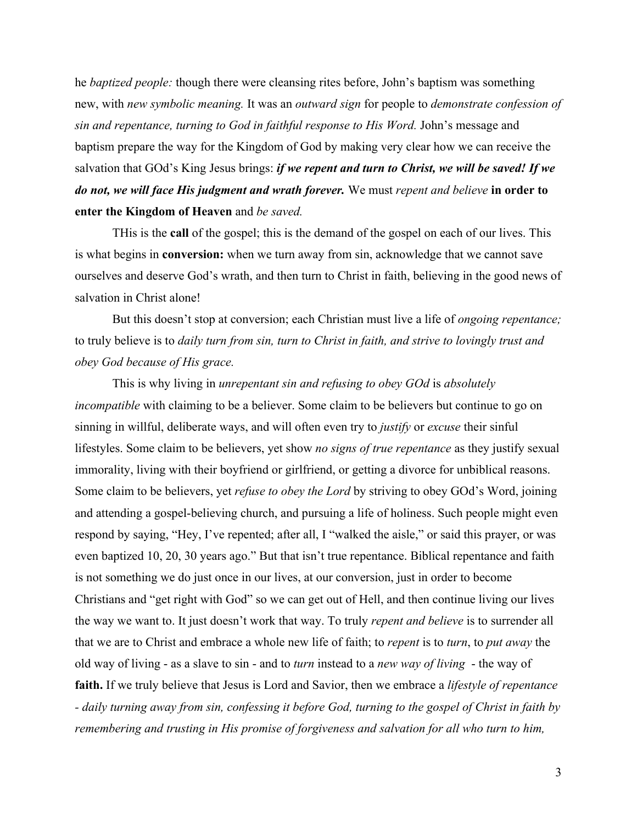he *baptized people:* though there were cleansing rites before, John's baptism was something new, with *new symbolic meaning.* It was an *outward sign* for people to *demonstrate confession of sin and repentance, turning to God in faithful response to His Word.* John's message and baptism prepare the way for the Kingdom of God by making very clear how we can receive the salvation that GOd's King Jesus brings: *if we repent and turn to Christ, we will be saved! If we do not, we will face His judgment and wrath forever.* We must *repent and believe* **in order to enter the Kingdom of Heaven** and *be saved.*

THis is the **call** of the gospel; this is the demand of the gospel on each of our lives. This is what begins in **conversion:** when we turn away from sin, acknowledge that we cannot save ourselves and deserve God's wrath, and then turn to Christ in faith, believing in the good news of salvation in Christ alone!

But this doesn't stop at conversion; each Christian must live a life of *ongoing repentance;* to truly believe is to *daily turn from sin, turn to Christ in faith, and strive to lovingly trust and obey God because of His grace.*

This is why living in *unrepentant sin and refusing to obey GOd* is *absolutely incompatible* with claiming to be a believer. Some claim to be believers but continue to go on sinning in willful, deliberate ways, and will often even try to *justify* or *excuse* their sinful lifestyles. Some claim to be believers, yet show *no signs of true repentance* as they justify sexual immorality, living with their boyfriend or girlfriend, or getting a divorce for unbiblical reasons. Some claim to be believers, yet *refuse to obey the Lord* by striving to obey GOd's Word, joining and attending a gospel-believing church, and pursuing a life of holiness. Such people might even respond by saying, "Hey, I've repented; after all, I "walked the aisle," or said this prayer, or was even baptized 10, 20, 30 years ago." But that isn't true repentance. Biblical repentance and faith is not something we do just once in our lives, at our conversion, just in order to become Christians and "get right with God" so we can get out of Hell, and then continue living our lives the way we want to. It just doesn't work that way. To truly *repent and believe* is to surrender all that we are to Christ and embrace a whole new life of faith; to *repent* is to *turn*, to *put away* the old way of living - as a slave to sin - and to *turn* instead to a *new way of living* - the way of **faith.** If we truly believe that Jesus is Lord and Savior, then we embrace a *lifestyle of repentance - daily turning away from sin, confessing it before God, turning to the gospel of Christ in faith by remembering and trusting in His promise of forgiveness and salvation for all who turn to him,*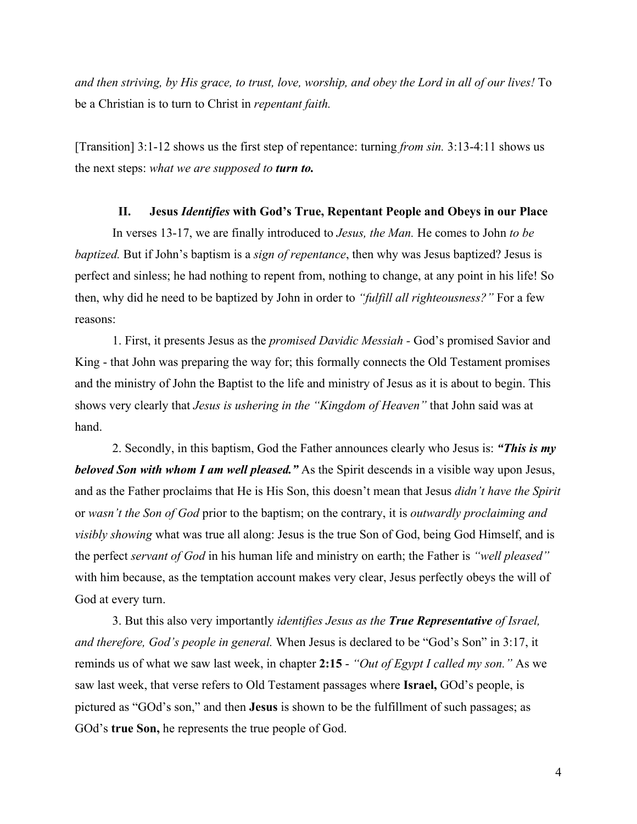*and then striving, by His grace, to trust, love, worship, and obey the Lord in all of our lives!* To be a Christian is to turn to Christ in *repentant faith.*

[Transition] 3:1-12 shows us the first step of repentance: turning *from sin.* 3:13-4:11 shows us the next steps: *what we are supposed to turn to.*

#### **II. Jesus** *Identifies* **with God's True, Repentant People and Obeys in our Place**

In verses 13-17, we are finally introduced to *Jesus, the Man.* He comes to John *to be baptized.* But if John's baptism is a *sign of repentance*, then why was Jesus baptized? Jesus is perfect and sinless; he had nothing to repent from, nothing to change, at any point in his life! So then, why did he need to be baptized by John in order to *"fulfill all righteousness?"* For a few reasons:

1. First, it presents Jesus as the *promised Davidic Messiah -* God's promised Savior and King - that John was preparing the way for; this formally connects the Old Testament promises and the ministry of John the Baptist to the life and ministry of Jesus as it is about to begin. This shows very clearly that *Jesus is ushering in the "Kingdom of Heaven"* that John said was at hand.

2. Secondly, in this baptism, God the Father announces clearly who Jesus is: *"This is my beloved Son with whom I am well pleased."* As the Spirit descends in a visible way upon Jesus, and as the Father proclaims that He is His Son, this doesn't mean that Jesus *didn't have the Spirit* or *wasn't the Son of God* prior to the baptism; on the contrary, it is *outwardly proclaiming and visibly showing* what was true all along: Jesus is the true Son of God, being God Himself, and is the perfect *servant of God* in his human life and ministry on earth; the Father is *"well pleased"* with him because, as the temptation account makes very clear, Jesus perfectly obeys the will of God at every turn.

3. But this also very importantly *identifies Jesus as the True Representative of Israel, and therefore, God's people in general.* When Jesus is declared to be "God's Son" in 3:17, it reminds us of what we saw last week, in chapter **2:15** - *"Out of Egypt I called my son."* As we saw last week, that verse refers to Old Testament passages where **Israel,** GOd's people, is pictured as "GOd's son," and then **Jesus** is shown to be the fulfillment of such passages; as GOd's **true Son,** he represents the true people of God.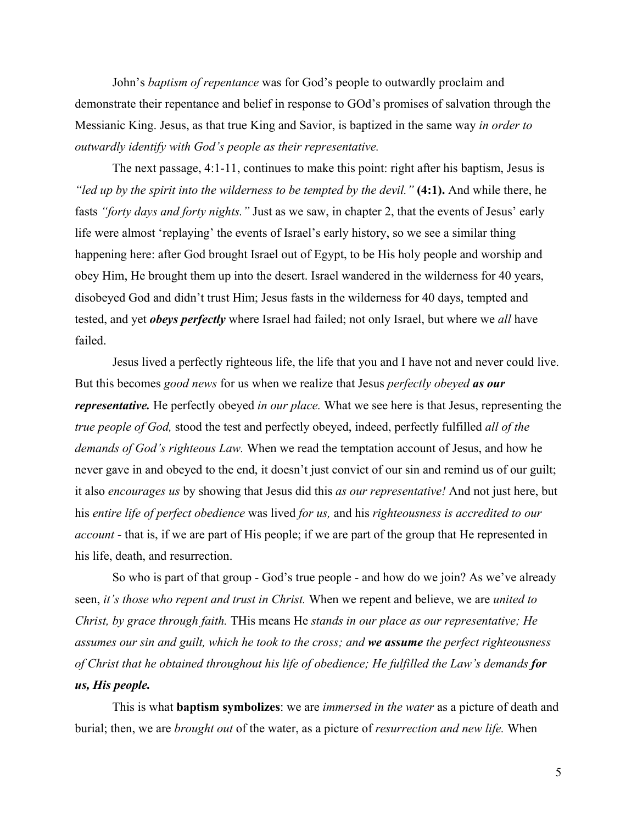John's *baptism of repentance* was for God's people to outwardly proclaim and demonstrate their repentance and belief in response to GOd's promises of salvation through the Messianic King. Jesus, as that true King and Savior, is baptized in the same way *in order to outwardly identify with God's people as their representative.*

The next passage, 4:1-11, continues to make this point: right after his baptism, Jesus is *"led up by the spirit into the wilderness to be tempted by the devil."* **(4:1).** And while there, he fasts *"forty days and forty nights."* Just as we saw, in chapter 2, that the events of Jesus' early life were almost 'replaying' the events of Israel's early history, so we see a similar thing happening here: after God brought Israel out of Egypt, to be His holy people and worship and obey Him, He brought them up into the desert. Israel wandered in the wilderness for 40 years, disobeyed God and didn't trust Him; Jesus fasts in the wilderness for 40 days, tempted and tested, and yet *obeys perfectly* where Israel had failed; not only Israel, but where we *all* have failed.

Jesus lived a perfectly righteous life, the life that you and I have not and never could live. But this becomes *good news* for us when we realize that Jesus *perfectly obeyed as our representative.* He perfectly obeyed *in our place.* What we see here is that Jesus, representing the *true people of God,* stood the test and perfectly obeyed, indeed, perfectly fulfilled *all of the demands of God's righteous Law.* When we read the temptation account of Jesus, and how he never gave in and obeyed to the end, it doesn't just convict of our sin and remind us of our guilt; it also *encourages us* by showing that Jesus did this *as our representative!* And not just here, but his *entire life of perfect obedience* was lived *for us,* and his *righteousness is accredited to our account* - that is, if we are part of His people; if we are part of the group that He represented in his life, death, and resurrection.

So who is part of that group - God's true people - and how do we join? As we've already seen, *it's those who repent and trust in Christ.* When we repent and believe, we are *united to Christ, by grace through faith.* THis means He *stands in our place as our representative; He assumes our sin and guilt, which he took to the cross; and we assume the perfect righteousness of Christ that he obtained throughout his life of obedience; He fulfilled the Law's demands for us, His people.*

This is what **baptism symbolizes**: we are *immersed in the water* as a picture of death and burial; then, we are *brought out* of the water, as a picture of *resurrection and new life.* When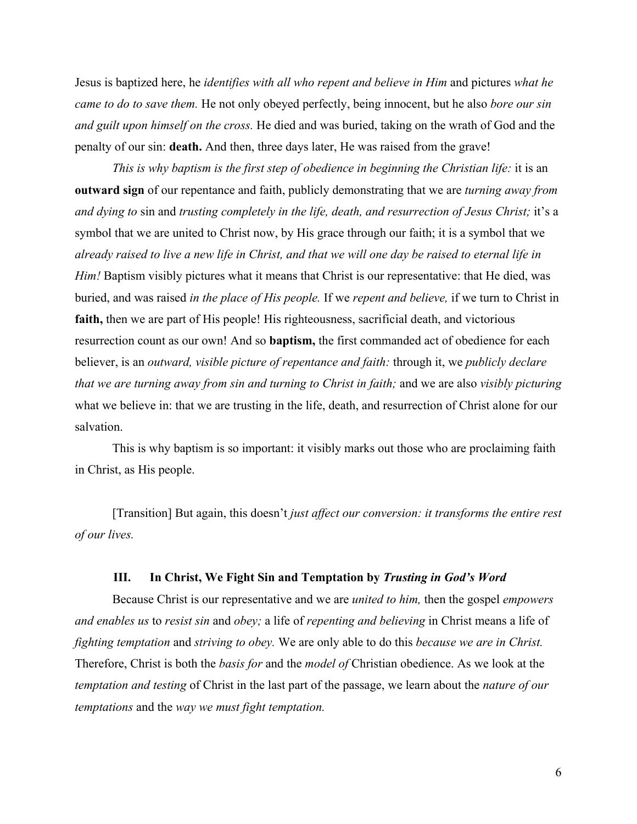Jesus is baptized here, he *identifies with all who repent and believe in Him* and pictures *what he came to do to save them.* He not only obeyed perfectly, being innocent, but he also *bore our sin and guilt upon himself on the cross.* He died and was buried, taking on the wrath of God and the penalty of our sin: **death.** And then, three days later, He was raised from the grave!

*This is why baptism is the first step of obedience in beginning the Christian life: it is an* **outward sign** of our repentance and faith, publicly demonstrating that we are *turning away from and dying to* sin and *trusting completely in the life, death, and resurrection of Jesus Christ;* it's a symbol that we are united to Christ now, by His grace through our faith; it is a symbol that we *already raised to live a new life in Christ, and that we will one day be raised to eternal life in Him!* Baptism visibly pictures what it means that Christ is our representative: that He died, was buried, and was raised *in the place of His people.* If we *repent and believe,* if we turn to Christ in faith, then we are part of His people! His righteousness, sacrificial death, and victorious resurrection count as our own! And so **baptism,** the first commanded act of obedience for each believer, is an *outward, visible picture of repentance and faith:* through it, we *publicly declare that we are turning away from sin and turning to Christ in faith;* and we are also *visibly picturing* what we believe in: that we are trusting in the life, death, and resurrection of Christ alone for our salvation.

This is why baptism is so important: it visibly marks out those who are proclaiming faith in Christ, as His people.

[Transition] But again, this doesn't *just affect our conversion: it transforms the entire rest of our lives.*

# **III. In Christ, We Fight Sin and Temptation by** *Trusting in God's Word*

Because Christ is our representative and we are *united to him,* then the gospel *empowers and enables us* to *resist sin* and *obey;* a life of *repenting and believing* in Christ means a life of *fighting temptation* and *striving to obey.* We are only able to do this *because we are in Christ.* Therefore, Christ is both the *basis for* and the *model of* Christian obedience. As we look at the *temptation and testing* of Christ in the last part of the passage, we learn about the *nature of our temptations* and the *way we must fight temptation.*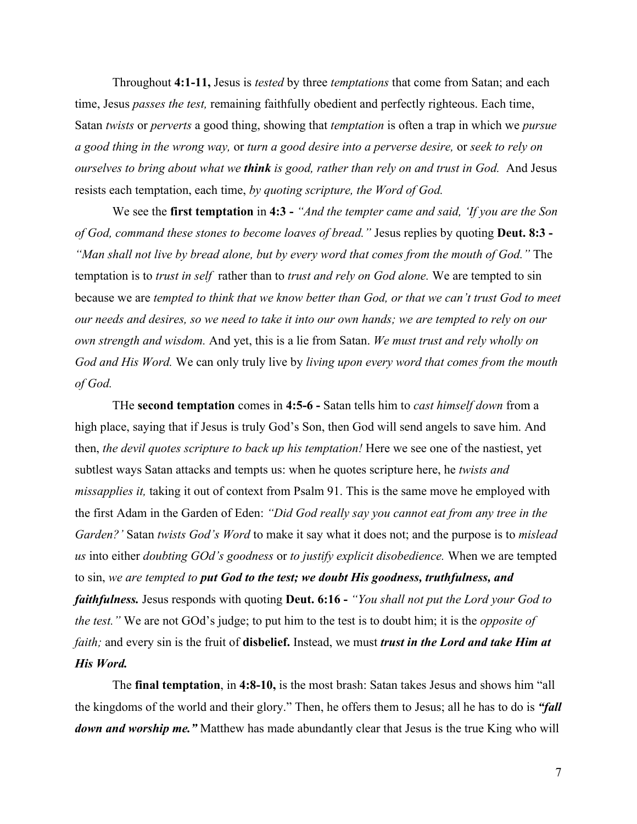Throughout **4:1-11,** Jesus is *tested* by three *temptations* that come from Satan; and each time, Jesus *passes the test,* remaining faithfully obedient and perfectly righteous. Each time, Satan *twists* or *perverts* a good thing, showing that *temptation* is often a trap in which we *pursue a good thing in the wrong way,* or *turn a good desire into a perverse desire,* or *seek to rely on ourselves to bring about what we think is good, rather than rely on and trust in God.* And Jesus resists each temptation, each time, *by quoting scripture, the Word of God.*

We see the **first temptation** in **4:3 -** *"And the tempter came and said, 'If you are the Son of God, command these stones to become loaves of bread."* Jesus replies by quoting **Deut. 8:3 -** *"Man shall not live by bread alone, but by every word that comes from the mouth of God."* The temptation is to *trust in self* rather than to *trust and rely on God alone.* We are tempted to sin because we are *tempted to think that we know better than God, or that we can't trust God to meet our needs and desires, so we need to take it into our own hands; we are tempted to rely on our own strength and wisdom.* And yet, this is a lie from Satan. *We must trust and rely wholly on God and His Word.* We can only truly live by *living upon every word that comes from the mouth of God.*

THe **second temptation** comes in **4:5-6 -** Satan tells him to *cast himself down* from a high place, saying that if Jesus is truly God's Son, then God will send angels to save him. And then, *the devil quotes scripture to back up his temptation!* Here we see one of the nastiest, yet subtlest ways Satan attacks and tempts us: when he quotes scripture here, he *twists and missapplies it,* taking it out of context from Psalm 91. This is the same move he employed with the first Adam in the Garden of Eden: *"Did God really say you cannot eat from any tree in the Garden?'* Satan *twists God's Word* to make it say what it does not; and the purpose is to *mislead us* into either *doubting GOd's goodness* or *to justify explicit disobedience.* When we are tempted to sin, *we are tempted to put God to the test; we doubt His goodness, truthfulness, and faithfulness.* Jesus responds with quoting **Deut. 6:16 -** *"You shall not put the Lord your God to the test."* We are not GOd's judge; to put him to the test is to doubt him; it is the *opposite of faith;* and every sin is the fruit of **disbelief.** Instead, we must *trust in the Lord and take Him at His Word.*

The **final temptation**, in **4:8-10,** is the most brash: Satan takes Jesus and shows him "all the kingdoms of the world and their glory." Then, he offers them to Jesus; all he has to do is *"fall down and worship me.*" Matthew has made abundantly clear that Jesus is the true King who will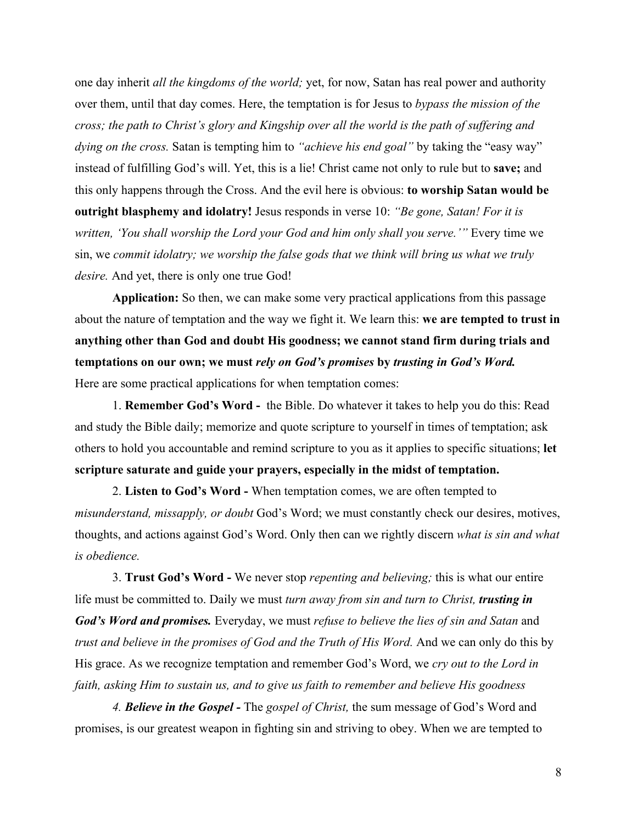one day inherit *all the kingdoms of the world;* yet, for now, Satan has real power and authority over them, until that day comes. Here, the temptation is for Jesus to *bypass the mission of the cross; the path to Christ's glory and Kingship over all the world is the path of suffering and dying on the cross.* Satan is tempting him to *"achieve his end goal"* by taking the "easy way" instead of fulfilling God's will. Yet, this is a lie! Christ came not only to rule but to **save;** and this only happens through the Cross. And the evil here is obvious: **to worship Satan would be outright blasphemy and idolatry!** Jesus responds in verse 10: *"Be gone, Satan! For it is written, 'You shall worship the Lord your God and him only shall you serve.'"* Every time we sin, we *commit idolatry; we worship the false gods that we think will bring us what we truly desire.* And yet, there is only one true God!

**Application:** So then, we can make some very practical applications from this passage about the nature of temptation and the way we fight it. We learn this: **we are tempted to trust in anything other than God and doubt His goodness; we cannot stand firm during trials and temptations on our own; we must** *rely on God's promises* **by** *trusting in God's Word.* Here are some practical applications for when temptation comes:

1. **Remember God's Word -** the Bible. Do whatever it takes to help you do this: Read and study the Bible daily; memorize and quote scripture to yourself in times of temptation; ask others to hold you accountable and remind scripture to you as it applies to specific situations; **let scripture saturate and guide your prayers, especially in the midst of temptation.**

2. **Listen to God's Word -** When temptation comes, we are often tempted to *misunderstand, missapply, or doubt* God's Word; we must constantly check our desires, motives, thoughts, and actions against God's Word. Only then can we rightly discern *what is sin and what is obedience.*

3. **Trust God's Word -** We never stop *repenting and believing;* this is what our entire life must be committed to. Daily we must *turn away from sin and turn to Christ, trusting in God's Word and promises.* Everyday, we must *refuse to believe the lies of sin and Satan* and *trust and believe in the promises of God and the Truth of His Word.* And we can only do this by His grace. As we recognize temptation and remember God's Word, we *cry out to the Lord in faith, asking Him to sustain us, and to give us faith to remember and believe His goodness*

*4. Believe in the Gospel -* The *gospel of Christ,* the sum message of God's Word and promises, is our greatest weapon in fighting sin and striving to obey. When we are tempted to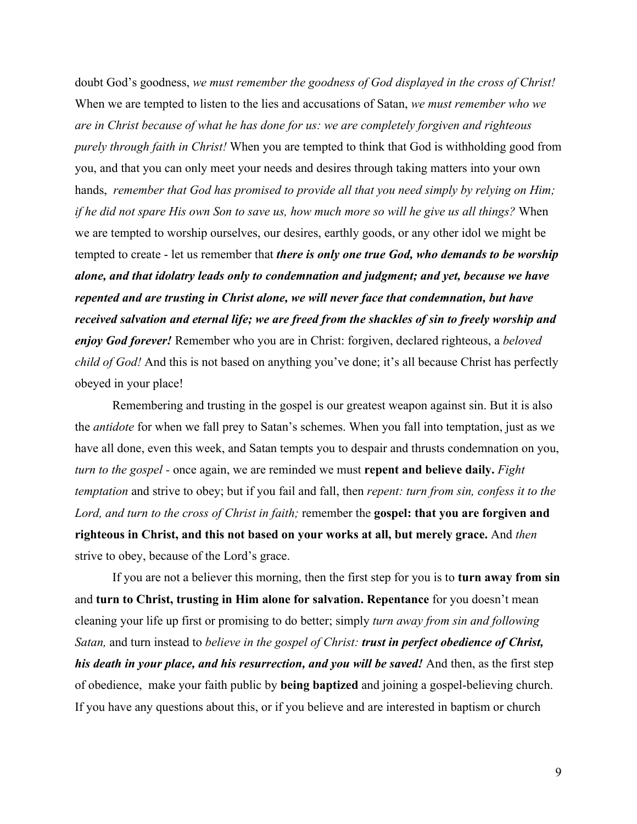doubt God's goodness, *we must remember the goodness of God displayed in the cross of Christ!* When we are tempted to listen to the lies and accusations of Satan, *we must remember who we are in Christ because of what he has done for us: we are completely forgiven and righteous purely through faith in Christ!* When you are tempted to think that God is withholding good from you, and that you can only meet your needs and desires through taking matters into your own hands, *remember that God has promised to provide all that you need simply by relying on Him; if he did not spare His own Son to save us, how much more so will he give us all things?* When we are tempted to worship ourselves, our desires, earthly goods, or any other idol we might be tempted to create - let us remember that *there is only one true God, who demands to be worship alone, and that idolatry leads only to condemnation and judgment; and yet, because we have repented and are trusting in Christ alone, we will never face that condemnation, but have received salvation and eternal life; we are freed from the shackles of sin to freely worship and enjoy God forever!* Remember who you are in Christ: forgiven, declared righteous, a *beloved child of God!* And this is not based on anything you've done; it's all because Christ has perfectly obeyed in your place!

Remembering and trusting in the gospel is our greatest weapon against sin. But it is also the *antidote* for when we fall prey to Satan's schemes. When you fall into temptation, just as we have all done, even this week, and Satan tempts you to despair and thrusts condemnation on you, *turn to the gospel -* once again, we are reminded we must **repent and believe daily.** *Fight temptation* and strive to obey; but if you fail and fall, then *repent: turn from sin, confess it to the Lord, and turn to the cross of Christ in faith;* remember the **gospel: that you are forgiven and righteous in Christ, and this not based on your works at all, but merely grace.** And *then* strive to obey, because of the Lord's grace.

If you are not a believer this morning, then the first step for you is to **turn away from sin** and **turn to Christ, trusting in Him alone for salvation. Repentance** for you doesn't mean cleaning your life up first or promising to do better; simply *turn away from sin and following Satan,* and turn instead to *believe in the gospel of Christ: trust in perfect obedience of Christ, his death in your place, and his resurrection, and you will be saved!* And then, as the first step of obedience, make your faith public by **being baptized** and joining a gospel-believing church. If you have any questions about this, or if you believe and are interested in baptism or church